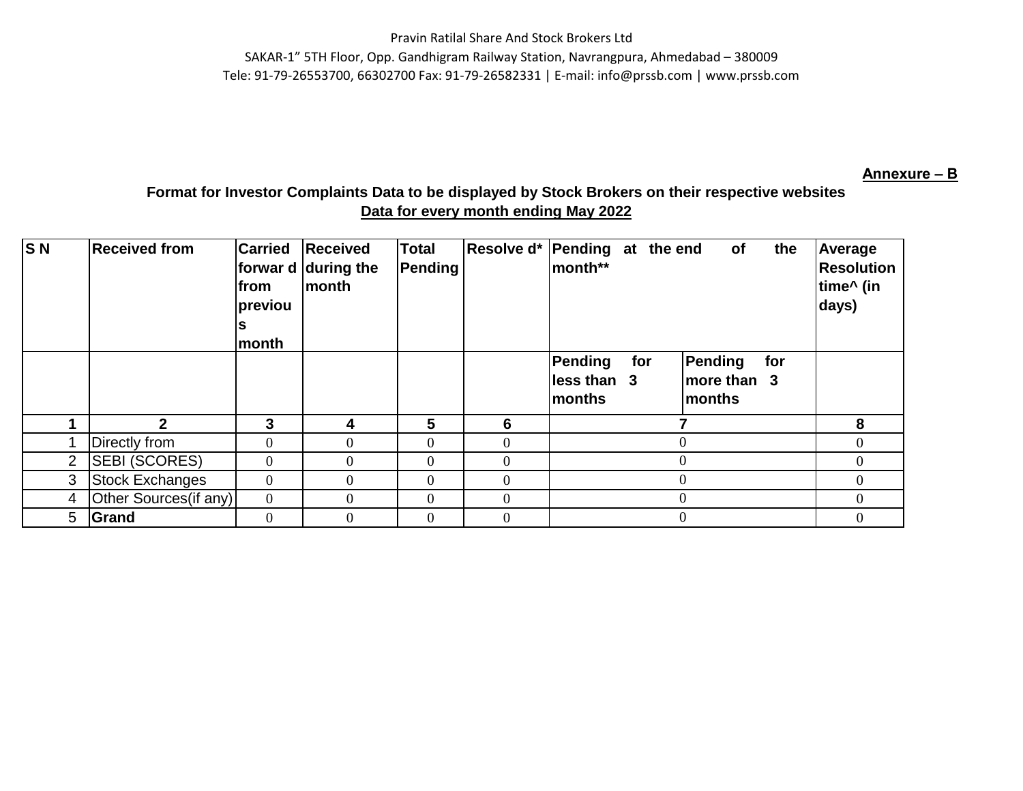Pravin Ratilal Share And Stock Brokers Ltd SAKAR-1" 5TH Floor, Opp. Gandhigram Railway Station, Navrangpura, Ahmedabad – 380009 Tele: 91-79-26553700, 66302700 Fax: 91-79-26582331 | E-mail: info@prssb.com | www.prssb.com

#### **Annexure – B**

# **Format for Investor Complaints Data to be displayed by Stock Brokers on their respective websites Data for every month ending May 2022**

| $\overline{\mathsf{S}\,\mathsf{N}}$ | <b>Received from</b>   | <b>Carried</b><br>from<br>previou<br>month | Received<br>forwar d during the<br><b>month</b> | <b>Total</b><br>Pending | Resolve d* Pending at the end | lmonth**<br>Pending<br>less than 3<br>Imonths | for | of<br>Pending<br>more than 3<br>Imonths | the<br>for | Average<br><b>Resolution</b><br>time^ (in<br>days) |
|-------------------------------------|------------------------|--------------------------------------------|-------------------------------------------------|-------------------------|-------------------------------|-----------------------------------------------|-----|-----------------------------------------|------------|----------------------------------------------------|
|                                     | $\mathbf{p}$           | 3                                          | 4                                               | 5                       | 6                             |                                               |     |                                         |            | 8                                                  |
|                                     | Directly from          | $\overline{0}$                             |                                                 | $\theta$                | 0                             |                                               |     | 0                                       |            | $\overline{0}$                                     |
| $\overline{2}$                      | <b>SEBI (SCORES)</b>   | $\overline{0}$                             | $\Omega$                                        | $\overline{0}$          | 0                             |                                               |     | $\theta$                                |            | 0                                                  |
| 3                                   | <b>Stock Exchanges</b> | $\boldsymbol{0}$                           | $\Omega$                                        | $\Omega$                | 0                             |                                               |     | 0                                       |            | 0                                                  |
| 4                                   | Other Sources(if any)  | $\overline{0}$                             | $\Omega$                                        | $\overline{0}$          | 0                             |                                               |     | $\theta$                                |            | $\Omega$                                           |
| 5                                   | Grand                  | $\Omega$                                   | $\Omega$                                        | $\boldsymbol{0}$        | 0                             |                                               |     |                                         |            |                                                    |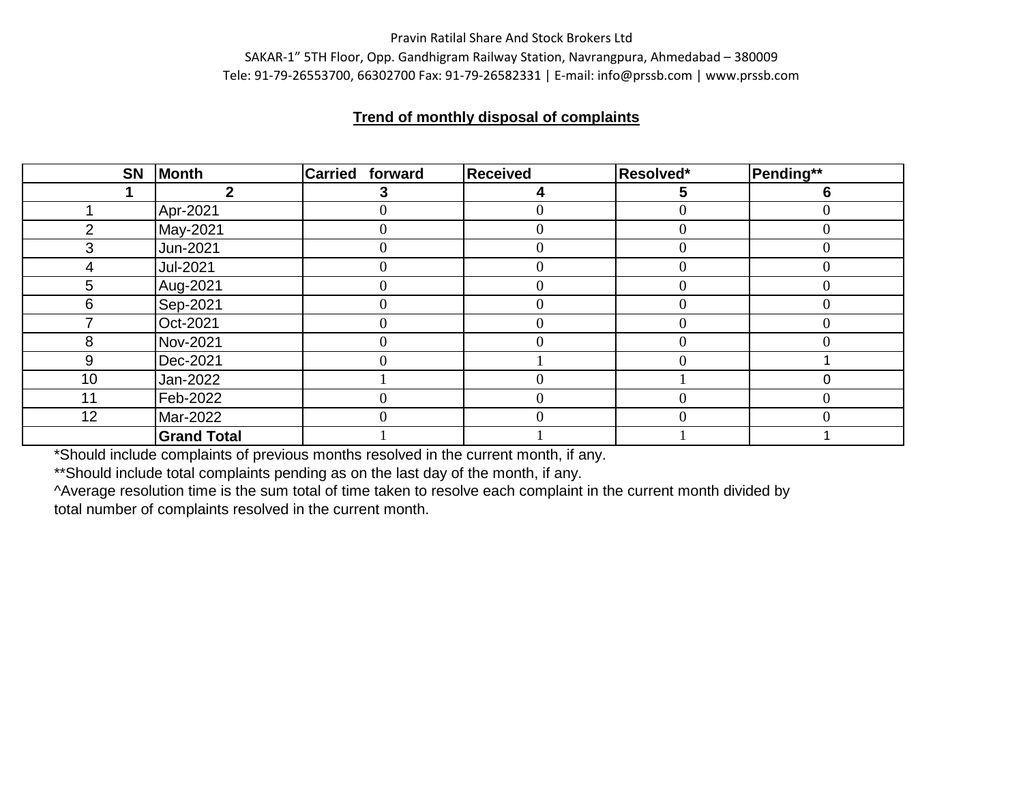#### Pravin Ratilal Share And Stock Brokers Ltd

SAKAR-1" 5TH Floor, Opp. Gandhigram Railway Station, Navrangpura, Ahmedabad – 380009 Tele: 91-79-26553700, 66302700 Fax: 91-79-26582331 | E-mail: info@prssb.com | www.prssb.com

## **Trend of monthly disposal of complaints**

| <b>SN</b>     | Month              | <b>Carried forward</b> | <b>Received</b> | Resolved* | Pending** |
|---------------|--------------------|------------------------|-----------------|-----------|-----------|
|               | מ                  | 3                      | 4               | 5         | 6         |
|               | Apr-2021           |                        |                 |           |           |
| $\mathcal{P}$ | May-2021           | $\theta$               |                 | 0         | 0         |
| 3             | Jun-2021           | $\theta$               |                 |           |           |
| 4             | Jul-2021           | $\overline{0}$         |                 |           | 0         |
| 5             | Aug-2021           |                        |                 |           |           |
| 6             | Sep-2021           |                        |                 |           |           |
|               | Oct-2021           | $\Omega$               |                 | 0         | 0         |
| 8             | Nov-2021           | 0                      |                 |           |           |
| 9             | Dec-2021           | 0                      |                 |           |           |
| 10            | Jan-2022           |                        |                 |           |           |
| 11            | Feb-2022           | 0                      |                 |           | 0         |
| 12            | Mar-2022           | 0                      |                 |           |           |
|               | <b>Grand Total</b> |                        |                 |           |           |

\*Should include complaints of previous months resolved in the current month, if any.

\*\*Should include total complaints pending as on the last day of the month, if any.

^Average resolution time is the sum total of time taken to resolve each complaint in the current month divided by total number of complaints resolved in the current month.